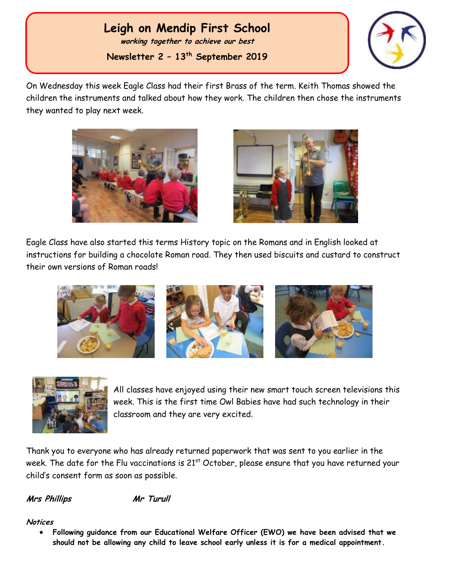# **Leigh on Mendip First School**

**working together to achieve our best**

**Newsletter 2 – 13 th September 2019**



**th 2017** On Wednesday this week Eagle Class had their first Brass of the term. Keith Thomas showed the children the instruments and talked about how they work. The children then chose the instruments they wanted to play next week.





Eagle Class have also started this terms History topic on the Romans and in English looked at instructions for building a chocolate Roman road. They then used biscuits and custard to construct their own versions of Roman roads!





All classes have enjoyed using their new smart touch screen televisions this week. This is the first time Owl Babies have had such technology in their classroom and they are very excited.

Thank you to everyone who has already returned paperwork that was sent to you earlier in the week. The date for the Flu vaccinations is 21<sup>st</sup> October, please ensure that you have returned your child's consent form as soon as possible.

**Mrs Phillips Mr Turull**

#### **Notices**

 **Following guidance from our Educational Welfare Officer (EWO) we have been advised that we should not be allowing any child to leave school early unless it is for a medical appointment.**